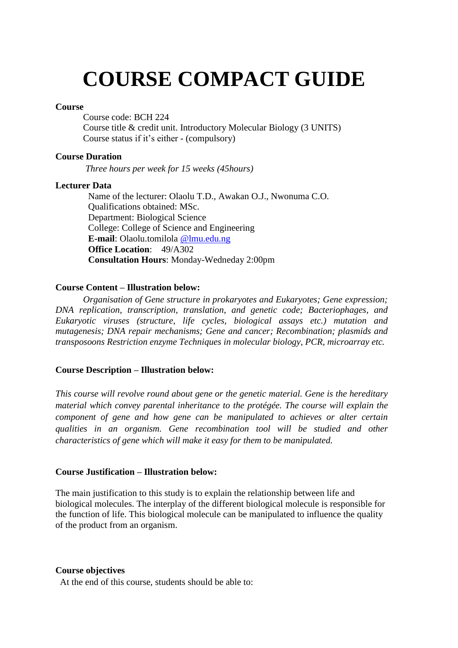# **COURSE COMPACT GUIDE**

## **Course**

Course code: BCH 224 Course title & credit unit. Introductory Molecular Biology (3 UNITS) Course status if it's either - (compulsory)

#### **Course Duration**

*Three hours per week for 15 weeks (45hours)*

## **Lecturer Data**

Name of the lecturer: Olaolu T.D., Awakan O.J., Nwonuma C.O. Qualifications obtained: MSc. Department: Biological Science College: College of Science and Engineering **E-mail**: Olaolu.tomilola @lmu.edu.ng **Office Location**: 49/A302 **Consultation Hours**: Monday-Wedneday 2:00pm

## **Course Content – Illustration below:**

*Organisation of Gene structure in prokaryotes and Eukaryotes; Gene expression; DNA replication, transcription, translation, and genetic code; Bacteriophages, and Eukaryotic viruses (structure, life cycles, biological assays etc.) mutation and mutagenesis; DNA repair mechanisms; Gene and cancer; Recombination; plasmids and transposoons Restriction enzyme Techniques in molecular biology, PCR, microarray etc.*

## **Course Description – Illustration below:**

*This course will revolve round about gene or the genetic material. Gene is the hereditary material which convey parental inheritance to the protégée. The course will explain the component of gene and how gene can be manipulated to achieves or alter certain qualities in an organism. Gene recombination tool will be studied and other characteristics of gene which will make it easy for them to be manipulated.*

## **Course Justification – Illustration below:**

The main justification to this study is to explain the relationship between life and biological molecules. The interplay of the different biological molecule is responsible for the function of life. This biological molecule can be manipulated to influence the quality of the product from an organism.

#### **Course objectives**

At the end of this course, students should be able to: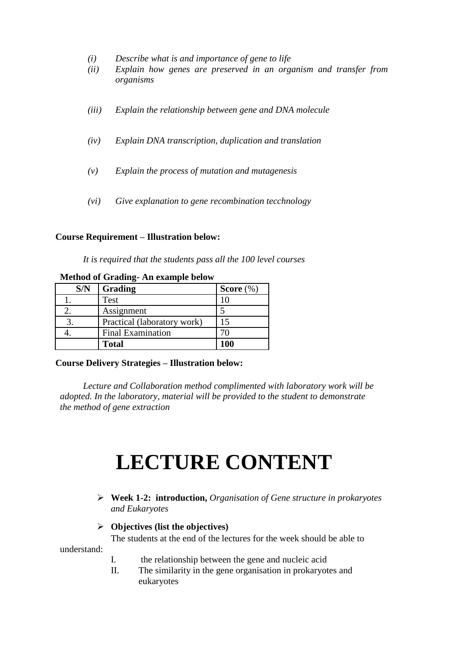- *(i) Describe what is and importance of gene to life*
- *(ii) Explain how genes are preserved in an organism and transfer from organisms*
- *(iii) Explain the relationship between gene and DNA molecule*
- *(iv) Explain DNA transcription, duplication and translation*
- *(v) Explain the process of mutation and mutagenesis*
- *(vi) Give explanation to gene recombination tecchnology*

#### **Course Requirement – Illustration below:**

*It is required that the students pass all the 100 level courses* 

| S/N | Grading                     | Score $(\%)$ |
|-----|-----------------------------|--------------|
|     | Test                        |              |
|     | Assignment                  |              |
|     | Practical (laboratory work) |              |
|     | Final Examination           |              |
|     | <b>Total</b>                | 100          |

**Method of Grading- An example below**

#### **Course Delivery Strategies – Illustration below:**

*Lecture and Collaboration method complimented with laboratory work will be adopted. In the laboratory, material will be provided to the student to demonstrate the method of gene extraction*

## **LECTURE CONTENT**

 **Week 1-2: introduction,** *Organisation of Gene structure in prokaryotes and Eukaryotes*

## **Objectives (list the objectives)**

The students at the end of the lectures for the week should be able to

understand:

- I. the relationship between the gene and nucleic acid
- II. The similarity in the gene organisation in prokaryotes and eukaryotes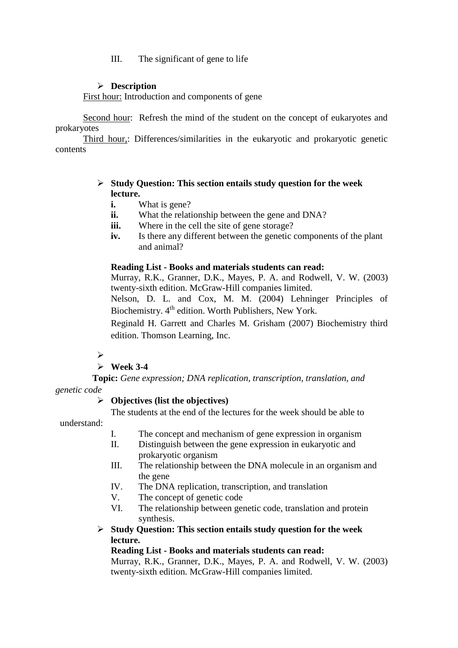III. The significant of gene to life

## **Description**

First hour: Introduction and components of gene

Second hour: Refresh the mind of the student on the concept of eukaryotes and prokaryotes

Third hour,: Differences/similarities in the eukaryotic and prokaryotic genetic contents

## **Study Question: This section entails study question for the week lecture.**

- **i.** What is gene?
- **ii.** What the relationship between the gene and DNA?
- **iii.** Where in the cell the site of gene storage?
- **iv.** Is there any different between the genetic components of the plant and animal?

## **Reading List - Books and materials students can read:**

Murray, R.K., Granner, D.K., Mayes, P. A. and Rodwell, V. W. (2003) twenty-sixth edition. McGraw-Hill companies limited.

Nelson, D. L. and Cox, M. M. (2004) Lehninger Principles of Biochemistry. 4<sup>th</sup> edition. Worth Publishers, New York.

Reginald H. Garrett and Charles M. Grisham (2007) Biochemistry third edition. Thomson Learning, Inc.

## $\blacktriangleright$

## **Week 3-4**

 **Topic:** *Gene expression; DNA replication, transcription, translation, and genetic code*

## **Objectives (list the objectives)**

The students at the end of the lectures for the week should be able to understand:

- I. The concept and mechanism of gene expression in organism
- II. Distinguish between the gene expression in eukaryotic and prokaryotic organism
- III. The relationship between the DNA molecule in an organism and the gene
- IV. The DNA replication, transcription, and translation
- V. The concept of genetic code
- VI. The relationship between genetic code, translation and protein synthesis.
- **Study Question: This section entails study question for the week lecture.**

## **Reading List - Books and materials students can read:**

Murray, R.K., Granner, D.K., Mayes, P. A. and Rodwell, V. W. (2003) twenty-sixth edition. McGraw-Hill companies limited.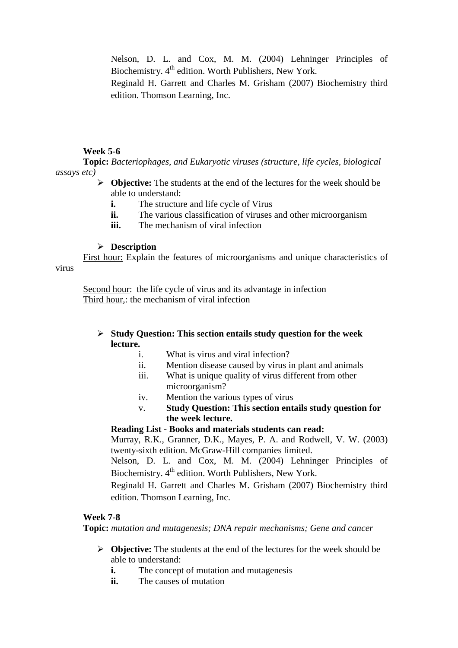Nelson, D. L. and Cox, M. M. (2004) Lehninger Principles of Biochemistry.  $4<sup>th</sup>$  edition. Worth Publishers, New York.

Reginald H. Garrett and Charles M. Grisham (2007) Biochemistry third edition. Thomson Learning, Inc.

## **Week 5-6**

**Topic:** *Bacteriophages, and Eukaryotic viruses (structure, life cycles, biological assays etc)*

- **Objective:** The students at the end of the lectures for the week should be able to understand:
	- **i.** The structure and life cycle of Virus
	- **ii.** The various classification of viruses and other microorganism
	- **iii.** The mechanism of viral infection

#### **Description**

First hour: Explain the features of microorganisms and unique characteristics of virus

Second hour: the life cycle of virus and its advantage in infection Third hour,: the mechanism of viral infection

## **Study Question: This section entails study question for the week lecture.**

- i. What is virus and viral infection?
- ii. Mention disease caused by virus in plant and animals
- iii. What is unique quality of virus different from other microorganism?
- iv. Mention the various types of virus
- v. **Study Question: This section entails study question for the week lecture.**

## **Reading List - Books and materials students can read:**

Murray, R.K., Granner, D.K., Mayes, P. A. and Rodwell, V. W. (2003) twenty-sixth edition. McGraw-Hill companies limited.

Nelson, D. L. and Cox, M. M. (2004) Lehninger Principles of Biochemistry. 4<sup>th</sup> edition. Worth Publishers, New York.

Reginald H. Garrett and Charles M. Grisham (2007) Biochemistry third edition. Thomson Learning, Inc.

## **Week 7-8**

**Topic:** *mutation and mutagenesis; DNA repair mechanisms; Gene and cancer*

- **Objective:** The students at the end of the lectures for the week should be able to understand:
	- **i.** The concept of mutation and mutagenesis
	- **ii.** The causes of mutation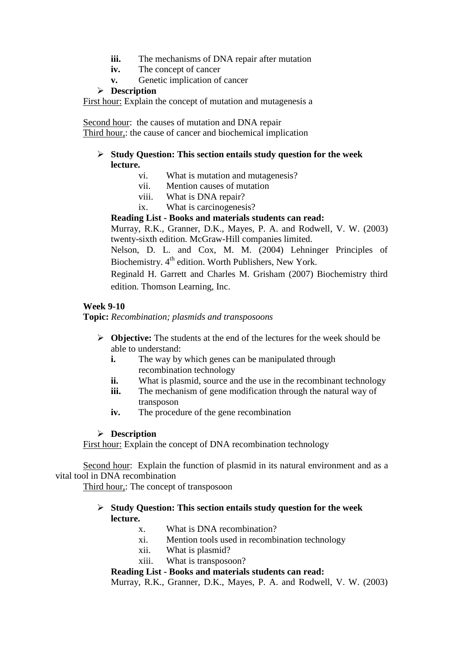- **iii.** The mechanisms of DNA repair after mutation
- **iv.** The concept of cancer
- **v.** Genetic implication of cancer

## **Description**

First hour: Explain the concept of mutation and mutagenesis a

Second hour: the causes of mutation and DNA repair Third hour,: the cause of cancer and biochemical implication

## **Study Question: This section entails study question for the week lecture.**

- vi. What is mutation and mutagenesis?
- vii. Mention causes of mutation
- viii. What is DNA repair?
- ix. What is carcinogenesis?

## **Reading List - Books and materials students can read:**

Murray, R.K., Granner, D.K., Mayes, P. A. and Rodwell, V. W. (2003) twenty-sixth edition. McGraw-Hill companies limited.

Nelson, D. L. and Cox, M. M. (2004) Lehninger Principles of Biochemistry. 4<sup>th</sup> edition. Worth Publishers, New York.

Reginald H. Garrett and Charles M. Grisham (2007) Biochemistry third edition. Thomson Learning, Inc.

## **Week 9-10**

**Topic:** *Recombination; plasmids and transposoons*

- **Objective:** The students at the end of the lectures for the week should be able to understand:
	- **i.** The way by which genes can be manipulated through recombination technology
	- **ii.** What is plasmid, source and the use in the recombinant technology
	- **iii.** The mechanism of gene modification through the natural way of transposon
	- **iv.** The procedure of the gene recombination

## **Description**

First hour: Explain the concept of DNA recombination technology

Second hour: Explain the function of plasmid in its natural environment and as a vital tool in DNA recombination

Third hour,: The concept of transposoon

## **Study Question: This section entails study question for the week lecture.**

- x. What is DNA recombination?
- xi. Mention tools used in recombination technology
- xii. What is plasmid?
- xiii. What is transposoon?

## **Reading List - Books and materials students can read:**

Murray, R.K., Granner, D.K., Mayes, P. A. and Rodwell, V. W. (2003)